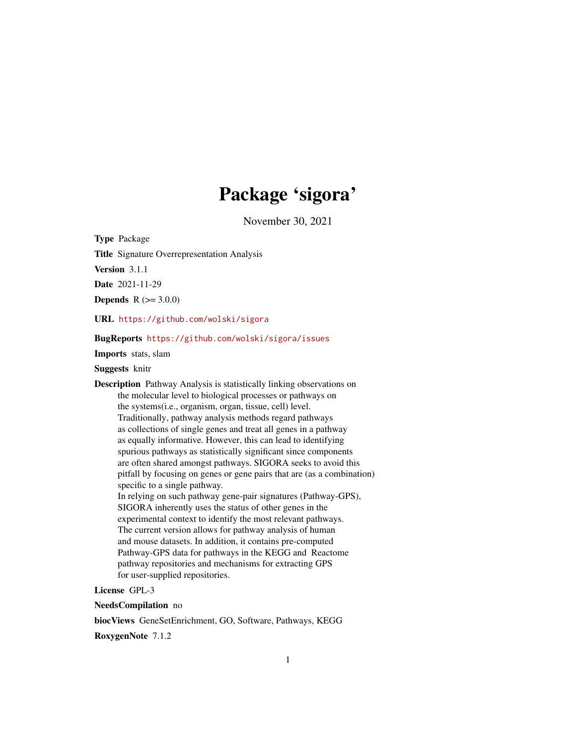# Package 'sigora'

November 30, 2021

<span id="page-0-0"></span>Type Package

Title Signature Overrepresentation Analysis

Version 3.1.1

Date 2021-11-29

**Depends**  $R (= 3.0.0)$ 

URL <https://github.com/wolski/sigora>

#### BugReports <https://github.com/wolski/sigora/issues>

Imports stats, slam

#### Suggests knitr

Description Pathway Analysis is statistically linking observations on the molecular level to biological processes or pathways on the systems(i.e., organism, organ, tissue, cell) level. Traditionally, pathway analysis methods regard pathways as collections of single genes and treat all genes in a pathway as equally informative. However, this can lead to identifying spurious pathways as statistically significant since components are often shared amongst pathways. SIGORA seeks to avoid this pitfall by focusing on genes or gene pairs that are (as a combination) specific to a single pathway. In relying on such pathway gene-pair signatures (Pathway-GPS), SIGORA inherently uses the status of other genes in the experimental context to identify the most relevant pathways. The current version allows for pathway analysis of human and mouse datasets. In addition, it contains pre-computed Pathway-GPS data for pathways in the KEGG and Reactome pathway repositories and mechanisms for extracting GPS for user-supplied repositories.

License GPL-3

NeedsCompilation no

biocViews GeneSetEnrichment, GO, Software, Pathways, KEGG

RoxygenNote 7.1.2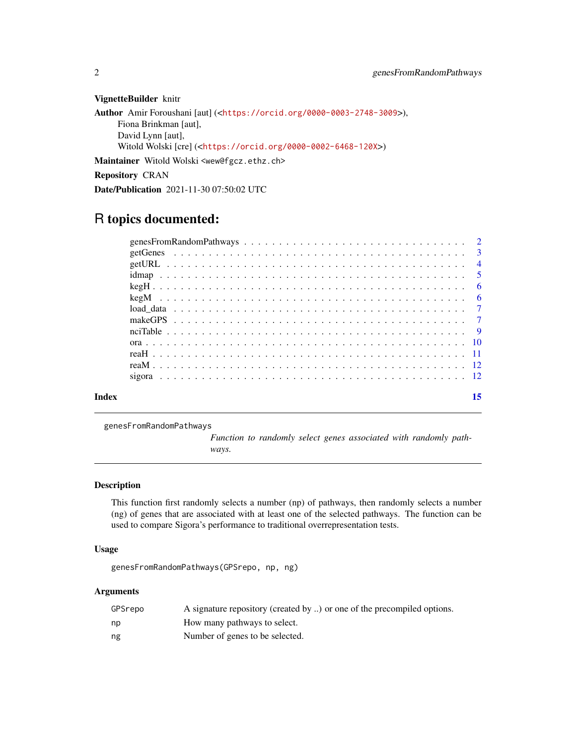VignetteBuilder knitr

```
Author Amir Foroushani [aut] (<https://orcid.org/0000-0003-2748-3009>),
     Fiona Brinkman [aut],
     David Lynn [aut],
     Witold Wolski [cre] (<https://orcid.org/0000-0002-6468-120X>)
Maintainer Witold Wolski <wew@fgcz.ethz.ch>
Repository CRAN
```
Date/Publication 2021-11-30 07:50:02 UTC

# R topics documented:

| Index | 15 |
|-------|----|
|       |    |
|       |    |
|       |    |
|       |    |
|       |    |
|       |    |
|       |    |
|       |    |
|       |    |
|       |    |
|       |    |
|       |    |
|       |    |

genesFromRandomPathways

*Function to randomly select genes associated with randomly pathways.*

#### Description

This function first randomly selects a number (np) of pathways, then randomly selects a number (ng) of genes that are associated with at least one of the selected pathways. The function can be used to compare Sigora's performance to traditional overrepresentation tests.

#### Usage

genesFromRandomPathways(GPSrepo, np, ng)

#### Arguments

| GPSrepo | A signature repository (created by ) or one of the precompiled options. |
|---------|-------------------------------------------------------------------------|
| np      | How many pathways to select.                                            |
| ng      | Number of genes to be selected.                                         |

<span id="page-1-0"></span>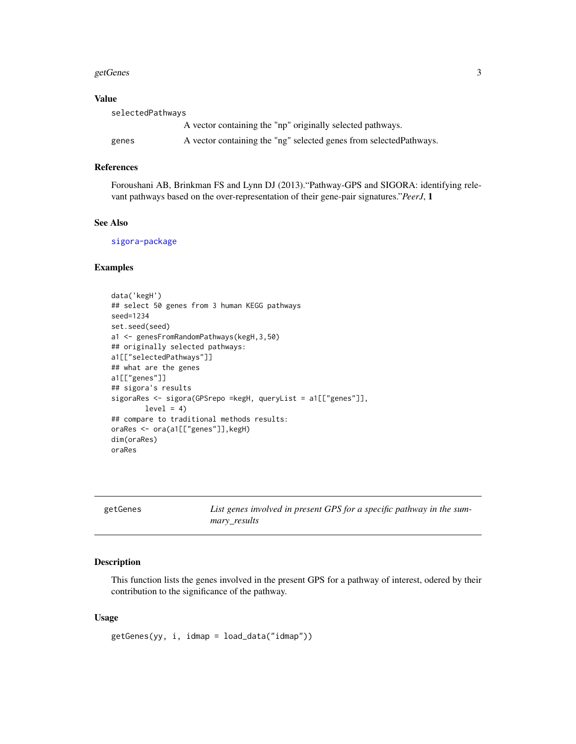#### <span id="page-2-0"></span>getGenes 3

#### Value

| selectedPathways |                                                                     |  |
|------------------|---------------------------------------------------------------------|--|
|                  | A vector containing the "np" originally selected pathways.          |  |
| genes            | A vector containing the "ng" selected genes from selected Pathways. |  |

#### References

Foroushani AB, Brinkman FS and Lynn DJ (2013)."Pathway-GPS and SIGORA: identifying relevant pathways based on the over-representation of their gene-pair signatures."*PeerJ*, 1

#### See Also

[sigora-package](#page-0-0)

#### Examples

```
data('kegH')
## select 50 genes from 3 human KEGG pathways
seed=1234
set.seed(seed)
a1 <- genesFromRandomPathways(kegH,3,50)
## originally selected pathways:
a1[["selectedPathways"]]
## what are the genes
a1[["genes"]]
## sigora's results
sigoraRes <- sigora(GPSrepo =kegH, queryList = a1[["genes"]],
       level = 4)
## compare to traditional methods results:
oraRes <- ora(a1[["genes"]],kegH)
dim(oraRes)
oraRes
```

| getGenes | List genes involved in present GPS for a specific pathway in the sum-<br>mary results |
|----------|---------------------------------------------------------------------------------------|
|          |                                                                                       |

#### Description

This function lists the genes involved in the present GPS for a pathway of interest, odered by their contribution to the significance of the pathway.

#### Usage

getGenes(yy, i, idmap = load\_data("idmap"))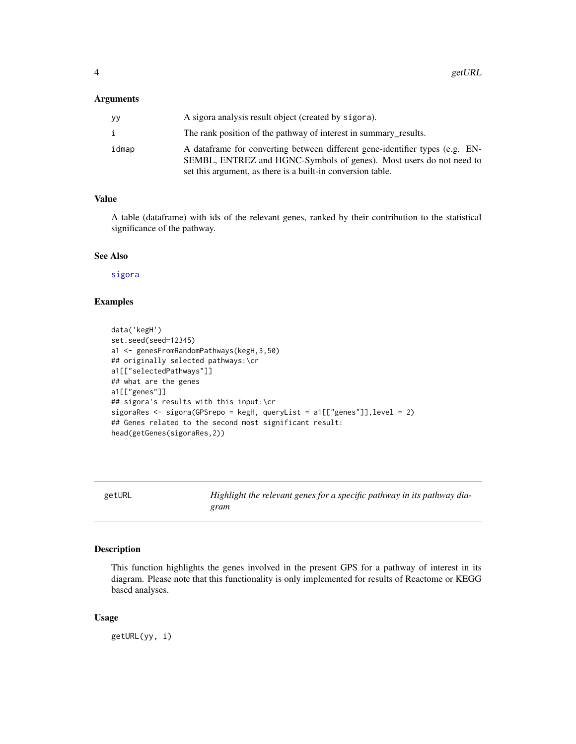#### <span id="page-3-0"></span>Arguments

| yу    | A sigora analysis result object (created by sigora).                                                                                                                                                               |
|-------|--------------------------------------------------------------------------------------------------------------------------------------------------------------------------------------------------------------------|
|       | The rank position of the pathway of interest in summary results.                                                                                                                                                   |
| idmap | A dataframe for converting between different gene-identifier types (e.g. EN-<br>SEMBL, ENTREZ and HGNC-Symbols of genes). Most users do not need to<br>set this argument, as there is a built-in conversion table. |

#### Value

A table (dataframe) with ids of the relevant genes, ranked by their contribution to the statistical significance of the pathway.

#### See Also

[sigora](#page-11-1)

#### Examples

```
data('kegH')
set.seed(seed=12345)
a1 <- genesFromRandomPathways(kegH,3,50)
## originally selected pathways:\cr
a1[["selectedPathways"]]
## what are the genes
a1[["genes"]]
## sigora's results with this input:\cr
sigoraRes <- sigora(GPSrepo = kegH, queryList = a1[["genes"]],level = 2)
## Genes related to the second most significant result:
head(getGenes(sigoraRes,2))
```
getURL *Highlight the relevant genes for a specific pathway in its pathway diagram*

#### Description

This function highlights the genes involved in the present GPS for a pathway of interest in its diagram. Please note that this functionality is only implemented for results of Reactome or KEGG based analyses.

#### Usage

getURL(yy, i)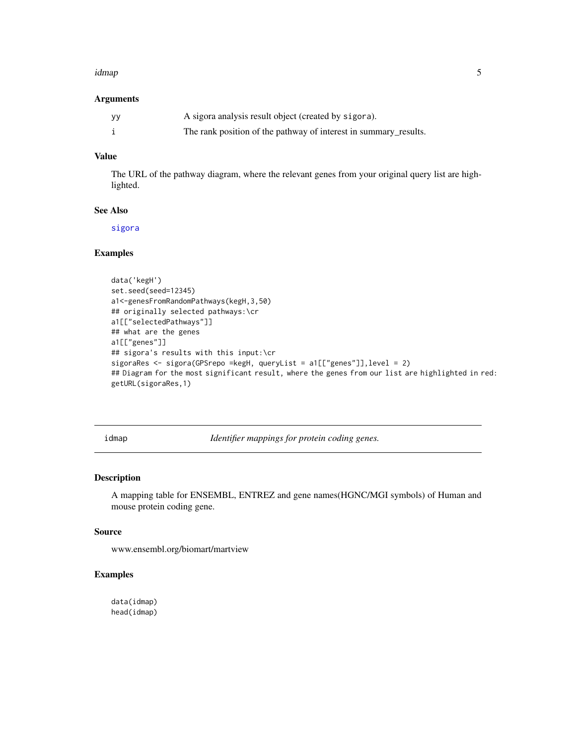#### <span id="page-4-0"></span>idmap 5

#### Arguments

| уу | A sigora analysis result object (created by sigora).             |
|----|------------------------------------------------------------------|
|    | The rank position of the pathway of interest in summary_results. |

#### Value

The URL of the pathway diagram, where the relevant genes from your original query list are highlighted.

#### See Also

[sigora](#page-11-1)

#### Examples

```
data('kegH')
set.seed(seed=12345)
a1<-genesFromRandomPathways(kegH,3,50)
## originally selected pathways:\cr
a1[["selectedPathways"]]
## what are the genes
a1[["genes"]]
## sigora's results with this input:\cr
sigoraRes <- sigora(GPSrepo =kegH, queryList = a1[["genes"]],level = 2)
## Diagram for the most significant result, where the genes from our list are highlighted in red:
getURL(sigoraRes,1)
```
idmap *Identifier mappings for protein coding genes.*

#### Description

A mapping table for ENSEMBL, ENTREZ and gene names(HGNC/MGI symbols) of Human and mouse protein coding gene.

#### Source

www.ensembl.org/biomart/martview

#### Examples

data(idmap) head(idmap)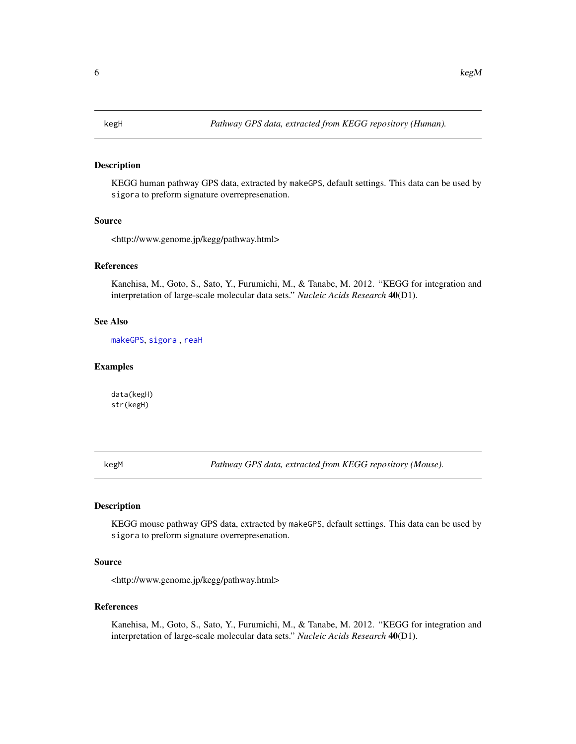<span id="page-5-0"></span>

#### Description

KEGG human pathway GPS data, extracted by makeGPS, default settings. This data can be used by sigora to preform signature overrepresenation.

#### Source

<http://www.genome.jp/kegg/pathway.html>

#### References

Kanehisa, M., Goto, S., Sato, Y., Furumichi, M., & Tanabe, M. 2012. "KEGG for integration and interpretation of large-scale molecular data sets." *Nucleic Acids Research* 40(D1).

#### See Also

[makeGPS](#page-6-1), [sigora](#page-11-1) , [reaH](#page-10-1)

#### Examples

data(kegH) str(kegH)

<span id="page-5-1"></span>kegM *Pathway GPS data, extracted from KEGG repository (Mouse).*

#### **Description**

KEGG mouse pathway GPS data, extracted by makeGPS, default settings. This data can be used by sigora to preform signature overrepresenation.

#### Source

<http://www.genome.jp/kegg/pathway.html>

#### References

Kanehisa, M., Goto, S., Sato, Y., Furumichi, M., & Tanabe, M. 2012. "KEGG for integration and interpretation of large-scale molecular data sets." *Nucleic Acids Research* 40(D1).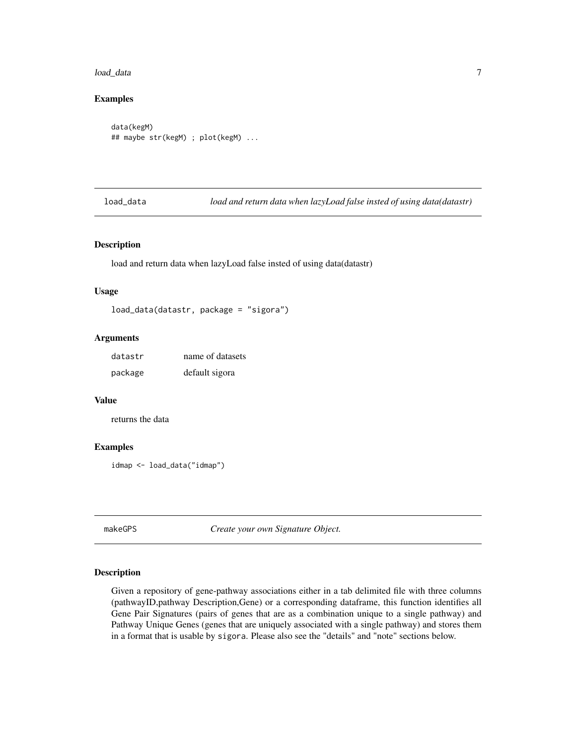#### <span id="page-6-0"></span>load\_data 7

#### Examples

```
data(kegM)
## maybe str(kegM) ; plot(kegM) ...
```
load\_data *load and return data when lazyLoad false insted of using data(datastr)*

#### Description

load and return data when lazyLoad false insted of using data(datastr)

#### Usage

load\_data(datastr, package = "sigora")

#### Arguments

| datastr | name of datasets |
|---------|------------------|
| package | default sigora   |

#### Value

returns the data

#### Examples

idmap <- load\_data("idmap")

<span id="page-6-1"></span>makeGPS *Create your own Signature Object.*

#### Description

Given a repository of gene-pathway associations either in a tab delimited file with three columns (pathwayID,pathway Description,Gene) or a corresponding dataframe, this function identifies all Gene Pair Signatures (pairs of genes that are as a combination unique to a single pathway) and Pathway Unique Genes (genes that are uniquely associated with a single pathway) and stores them in a format that is usable by sigora. Please also see the "details" and "note" sections below.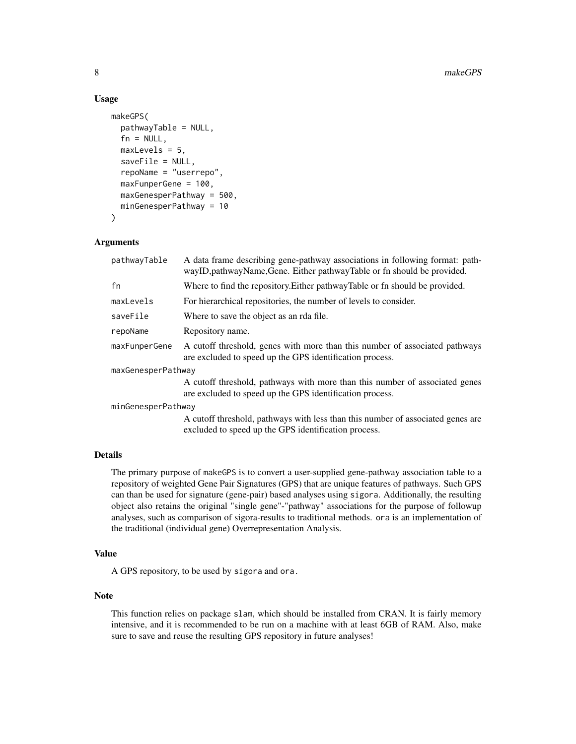#### Usage

```
makeGPS(
  pathwayTable = NULL,
  fn = NULL,maxLevels = 5,
  saveFile = NULL,
  repoName = "userrepo",
  maxFunperGene = 100,
  maxGenesperPathway = 500,
  minGenesperPathway = 10
)
```
#### Arguments

| pathwayTable       | A data frame describing gene-pathway associations in following format: path-<br>wayID, pathwayName, Gene. Either pathwayTable or fn should be provided. |  |
|--------------------|---------------------------------------------------------------------------------------------------------------------------------------------------------|--|
| fn                 | Where to find the repository. Either pathway Table or fn should be provided.                                                                            |  |
| maxLevels          | For hierarchical repositories, the number of levels to consider.                                                                                        |  |
| saveFile           | Where to save the object as an rda file.                                                                                                                |  |
| repoName           | Repository name.                                                                                                                                        |  |
| maxFunperGene      | A cutoff threshold, genes with more than this number of associated pathways<br>are excluded to speed up the GPS identification process.                 |  |
| maxGenesperPathway |                                                                                                                                                         |  |
|                    | A cutoff threshold, pathways with more than this number of associated genes<br>are excluded to speed up the GPS identification process.                 |  |
| minGenesperPathway |                                                                                                                                                         |  |
|                    | A cutoff threshold, pathways with less than this number of associated genes are<br>excluded to speed up the GPS identification process.                 |  |

#### Details

The primary purpose of makeGPS is to convert a user-supplied gene-pathway association table to a repository of weighted Gene Pair Signatures (GPS) that are unique features of pathways. Such GPS can than be used for signature (gene-pair) based analyses using sigora. Additionally, the resulting object also retains the original "single gene"-"pathway" associations for the purpose of followup analyses, such as comparison of sigora-results to traditional methods. ora is an implementation of the traditional (individual gene) Overrepresentation Analysis.

#### Value

A GPS repository, to be used by sigora and ora.

#### Note

This function relies on package slam, which should be installed from CRAN. It is fairly memory intensive, and it is recommended to be run on a machine with at least 6GB of RAM. Also, make sure to save and reuse the resulting GPS repository in future analyses!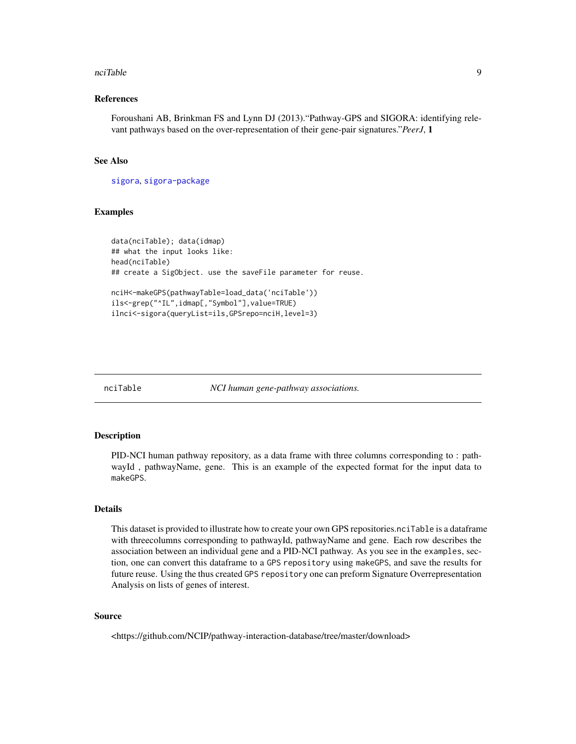#### <span id="page-8-0"></span>nciTable 9

#### References

Foroushani AB, Brinkman FS and Lynn DJ (2013)."Pathway-GPS and SIGORA: identifying relevant pathways based on the over-representation of their gene-pair signatures."*PeerJ*, 1

#### See Also

[sigora](#page-11-1), [sigora-package](#page-0-0)

#### Examples

```
data(nciTable); data(idmap)
## what the input looks like:
head(nciTable)
## create a SigObject. use the saveFile parameter for reuse.
nciH<-makeGPS(pathwayTable=load_data('nciTable'))
ils<-grep("^IL",idmap[,"Symbol"],value=TRUE)
ilnci<-sigora(queryList=ils,GPSrepo=nciH,level=3)
```
nciTable *NCI human gene-pathway associations.*

#### Description

PID-NCI human pathway repository, as a data frame with three columns corresponding to : pathwayId , pathwayName, gene. This is an example of the expected format for the input data to makeGPS.

#### Details

This dataset is provided to illustrate how to create your own GPS repositories.nciTable is a dataframe with threecolumns corresponding to pathwayId, pathwayName and gene. Each row describes the association between an individual gene and a PID-NCI pathway. As you see in the examples, section, one can convert this dataframe to a GPS repository using makeGPS, and save the results for future reuse. Using the thus created GPS repository one can preform Signature Overrepresentation Analysis on lists of genes of interest.

#### Source

<https://github.com/NCIP/pathway-interaction-database/tree/master/download>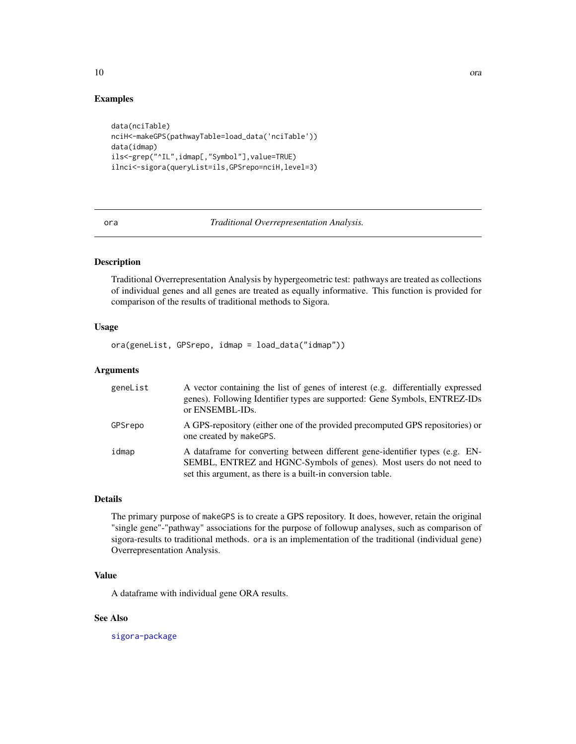#### Examples

```
data(nciTable)
nciH<-makeGPS(pathwayTable=load_data('nciTable'))
data(idmap)
ils<-grep("^IL",idmap[,"Symbol"],value=TRUE)
ilnci<-sigora(queryList=ils,GPSrepo=nciH,level=3)
```
ora *Traditional Overrepresentation Analysis.*

#### Description

Traditional Overrepresentation Analysis by hypergeometric test: pathways are treated as collections of individual genes and all genes are treated as equally informative. This function is provided for comparison of the results of traditional methods to Sigora.

#### Usage

ora(geneList, GPSrepo, idmap = load\_data("idmap"))

#### Arguments

| geneList | A vector containing the list of genes of interest (e.g. differentially expressed<br>genes). Following Identifier types are supported: Gene Symbols, ENTREZ-IDs<br>or ENSEMBL-IDs.                                  |
|----------|--------------------------------------------------------------------------------------------------------------------------------------------------------------------------------------------------------------------|
| GPSrepo  | A GPS-repository (either one of the provided precomputed GPS repositories) or<br>one created by makeGPS.                                                                                                           |
| idmap    | A dataframe for converting between different gene-identifier types (e.g. EN-<br>SEMBL, ENTREZ and HGNC-Symbols of genes). Most users do not need to<br>set this argument, as there is a built-in conversion table. |

#### Details

The primary purpose of makeGPS is to create a GPS repository. It does, however, retain the original "single gene"-"pathway" associations for the purpose of followup analyses, such as comparison of sigora-results to traditional methods. ora is an implementation of the traditional (individual gene) Overrepresentation Analysis.

#### Value

A dataframe with individual gene ORA results.

#### See Also

[sigora-package](#page-0-0)

<span id="page-9-0"></span>10 ora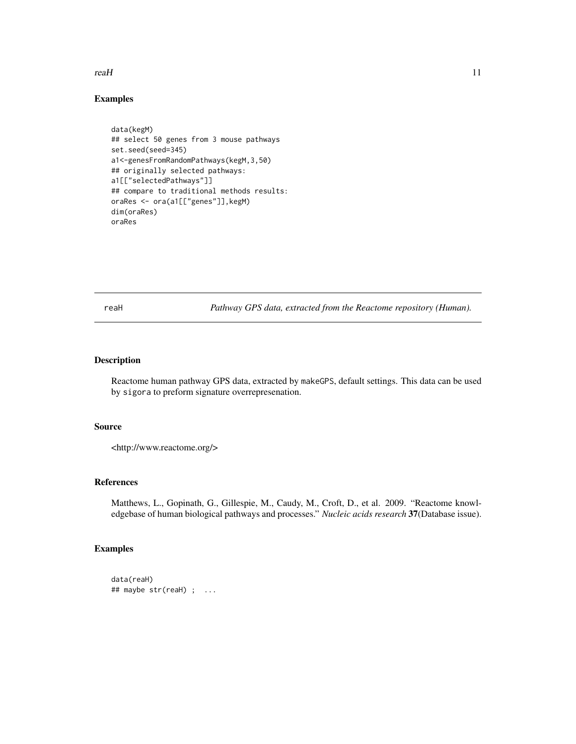#### <span id="page-10-0"></span> $real$  11

#### Examples

```
data(kegM)
## select 50 genes from 3 mouse pathways
set.seed(seed=345)
a1<-genesFromRandomPathways(kegM,3,50)
## originally selected pathways:
a1[["selectedPathways"]]
## compare to traditional methods results:
oraRes <- ora(a1[["genes"]],kegM)
dim(oraRes)
oraRes
```
<span id="page-10-1"></span>reaH *Pathway GPS data, extracted from the Reactome repository (Human).*

#### Description

Reactome human pathway GPS data, extracted by makeGPS, default settings. This data can be used by sigora to preform signature overrepresenation.

#### Source

<http://www.reactome.org/>

#### References

Matthews, L., Gopinath, G., Gillespie, M., Caudy, M., Croft, D., et al. 2009. "Reactome knowledgebase of human biological pathways and processes." *Nucleic acids research* 37(Database issue).

#### Examples

```
data(reaH)
## maybe str(reaH) ; ...
```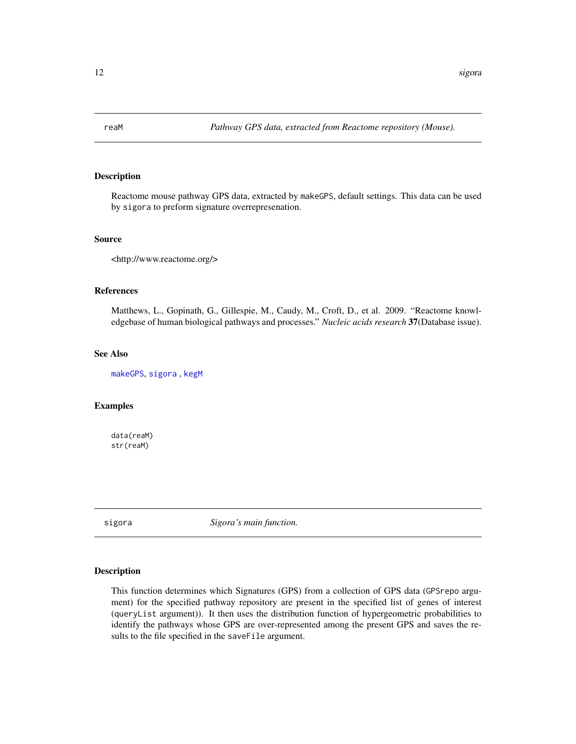<span id="page-11-0"></span>

#### Description

Reactome mouse pathway GPS data, extracted by makeGPS, default settings. This data can be used by sigora to preform signature overrepresenation.

#### Source

```
<http://www.reactome.org/>
```
#### References

Matthews, L., Gopinath, G., Gillespie, M., Caudy, M., Croft, D., et al. 2009. "Reactome knowledgebase of human biological pathways and processes." *Nucleic acids research* 37(Database issue).

#### See Also

[makeGPS](#page-6-1), [sigora](#page-11-1) , [kegM](#page-5-1)

#### Examples

data(reaM) str(reaM)

<span id="page-11-1"></span>sigora *Sigora's main function.*

#### Description

This function determines which Signatures (GPS) from a collection of GPS data (GPSrepo argument) for the specified pathway repository are present in the specified list of genes of interest (queryList argument)). It then uses the distribution function of hypergeometric probabilities to identify the pathways whose GPS are over-represented among the present GPS and saves the results to the file specified in the saveFile argument.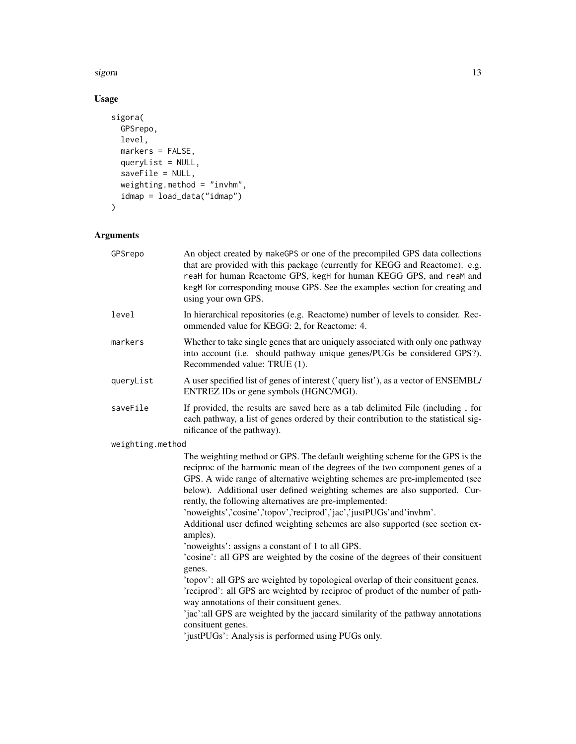sigora di anticologia di anticologia di anticologia di anticologia di anticologia di anticologia di anticologi

### Usage

```
sigora(
  GPSrepo,
  level,
  markers = FALSE,
  queryList = NULL,
  saveFile = NULL,
  weighting.method = "invhm",
  idmap = load_data("idmap")
\mathcal{L}
```
## Arguments

| GPSrepo          | An object created by makeGPS or one of the precompiled GPS data collections<br>that are provided with this package (currently for KEGG and Reactome). e.g.<br>reaH for human Reactome GPS, kegH for human KEGG GPS, and reaM and<br>kegM for corresponding mouse GPS. See the examples section for creating and<br>using your own GPS.                                                                                                                                                                                                                   |
|------------------|----------------------------------------------------------------------------------------------------------------------------------------------------------------------------------------------------------------------------------------------------------------------------------------------------------------------------------------------------------------------------------------------------------------------------------------------------------------------------------------------------------------------------------------------------------|
| level            | In hierarchical repositories (e.g. Reactome) number of levels to consider. Rec-<br>ommended value for KEGG: 2, for Reactome: 4.                                                                                                                                                                                                                                                                                                                                                                                                                          |
| markers          | Whether to take single genes that are uniquely associated with only one pathway<br>into account (i.e. should pathway unique genes/PUGs be considered GPS?).<br>Recommended value: TRUE (1).                                                                                                                                                                                                                                                                                                                                                              |
| queryList        | A user specified list of genes of interest ('query list'), as a vector of ENSEMBL/<br>ENTREZ IDs or gene symbols (HGNC/MGI).                                                                                                                                                                                                                                                                                                                                                                                                                             |
| saveFile         | If provided, the results are saved here as a tab delimited File (including, for<br>each pathway, a list of genes ordered by their contribution to the statistical sig-<br>nificance of the pathway).                                                                                                                                                                                                                                                                                                                                                     |
| weighting.method |                                                                                                                                                                                                                                                                                                                                                                                                                                                                                                                                                          |
|                  | The weighting method or GPS. The default weighting scheme for the GPS is the<br>reciproc of the harmonic mean of the degrees of the two component genes of a<br>GPS. A wide range of alternative weighting schemes are pre-implemented (see<br>below). Additional user defined weighting schemes are also supported. Cur-<br>rently, the following alternatives are pre-implemented:<br>'noweights','cosine','topov','reciprod','jac','justPUGs'and'invhm'.<br>Additional user defined weighting schemes are also supported (see section ex-<br>amples). |
|                  | 'noweights': assigns a constant of 1 to all GPS.<br>'cosine': all GPS are weighted by the cosine of the degrees of their consituent<br>genes.                                                                                                                                                                                                                                                                                                                                                                                                            |
|                  | 'topov': all GPS are weighted by topological overlap of their consituent genes.<br>'reciprod': all GPS are weighted by reciproc of product of the number of path-<br>way annotations of their consituent genes.<br>'jac':all GPS are weighted by the jaccard similarity of the pathway annotations                                                                                                                                                                                                                                                       |
|                  | consituent genes.<br>'justPUGs': Analysis is performed using PUGs only.                                                                                                                                                                                                                                                                                                                                                                                                                                                                                  |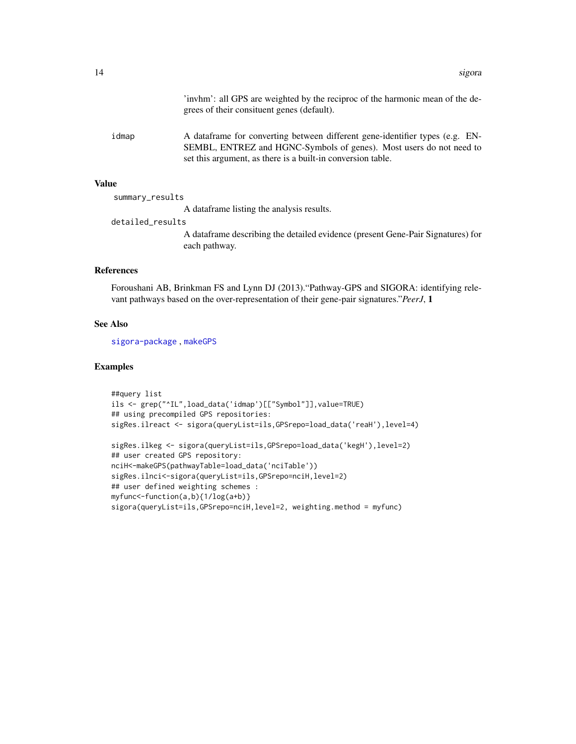'invhm': all GPS are weighted by the reciproc of the harmonic mean of the degrees of their consituent genes (default).

<span id="page-13-0"></span>idmap A dataframe for converting between different gene-identifier types (e.g. EN-SEMBL, ENTREZ and HGNC-Symbols of genes). Most users do not need to set this argument, as there is a built-in conversion table.

#### Value

summary\_results

A dataframe listing the analysis results.

detailed\_results

A dataframe describing the detailed evidence (present Gene-Pair Signatures) for each pathway.

#### References

Foroushani AB, Brinkman FS and Lynn DJ (2013)."Pathway-GPS and SIGORA: identifying relevant pathways based on the over-representation of their gene-pair signatures."*PeerJ*, 1

#### See Also

[sigora-package](#page-0-0) , [makeGPS](#page-6-1)

#### Examples

```
##query list
ils <- grep("^IL",load_data('idmap')[["Symbol"]],value=TRUE)
## using precompiled GPS repositories:
sigRes.ilreact <- sigora(queryList=ils,GPSrepo=load_data('reaH'),level=4)
sigRes.ilkeg <- sigora(queryList=ils,GPSrepo=load_data('kegH'),level=2)
## user created GPS repository:
nciH<-makeGPS(pathwayTable=load_data('nciTable'))
sigRes.ilnci<-sigora(queryList=ils,GPSrepo=nciH,level=2)
## user defined weighting schemes :
myfunc<-function(a,b){1/log(a+b)}
sigora(queryList=ils,GPSrepo=nciH,level=2, weighting.method = myfunc)
```